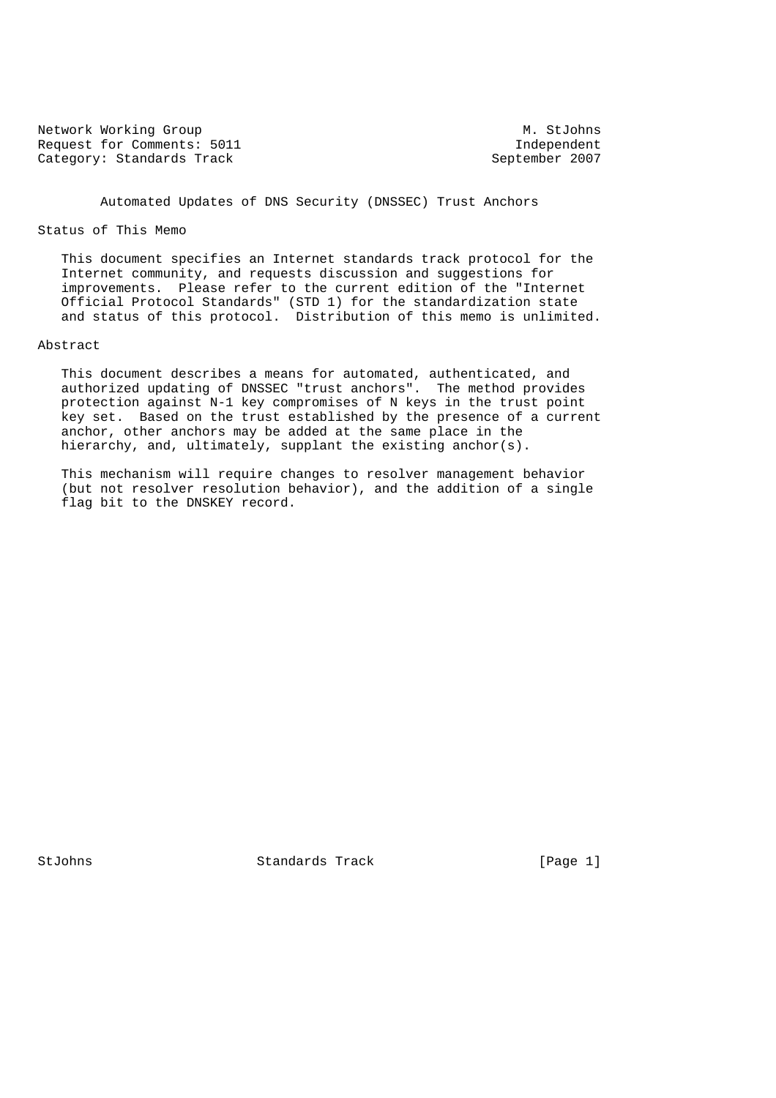Network Working Group Methods and M. StJohns Request for Comments: 5011 Independent Category: Standards Track

Automated Updates of DNS Security (DNSSEC) Trust Anchors

#### Status of This Memo

 This document specifies an Internet standards track protocol for the Internet community, and requests discussion and suggestions for improvements. Please refer to the current edition of the "Internet Official Protocol Standards" (STD 1) for the standardization state and status of this protocol. Distribution of this memo is unlimited.

### Abstract

 This document describes a means for automated, authenticated, and authorized updating of DNSSEC "trust anchors". The method provides protection against N-1 key compromises of N keys in the trust point key set. Based on the trust established by the presence of a current anchor, other anchors may be added at the same place in the hierarchy, and, ultimately, supplant the existing anchor(s).

 This mechanism will require changes to resolver management behavior (but not resolver resolution behavior), and the addition of a single flag bit to the DNSKEY record.

StJohns Standards Track [Page 1]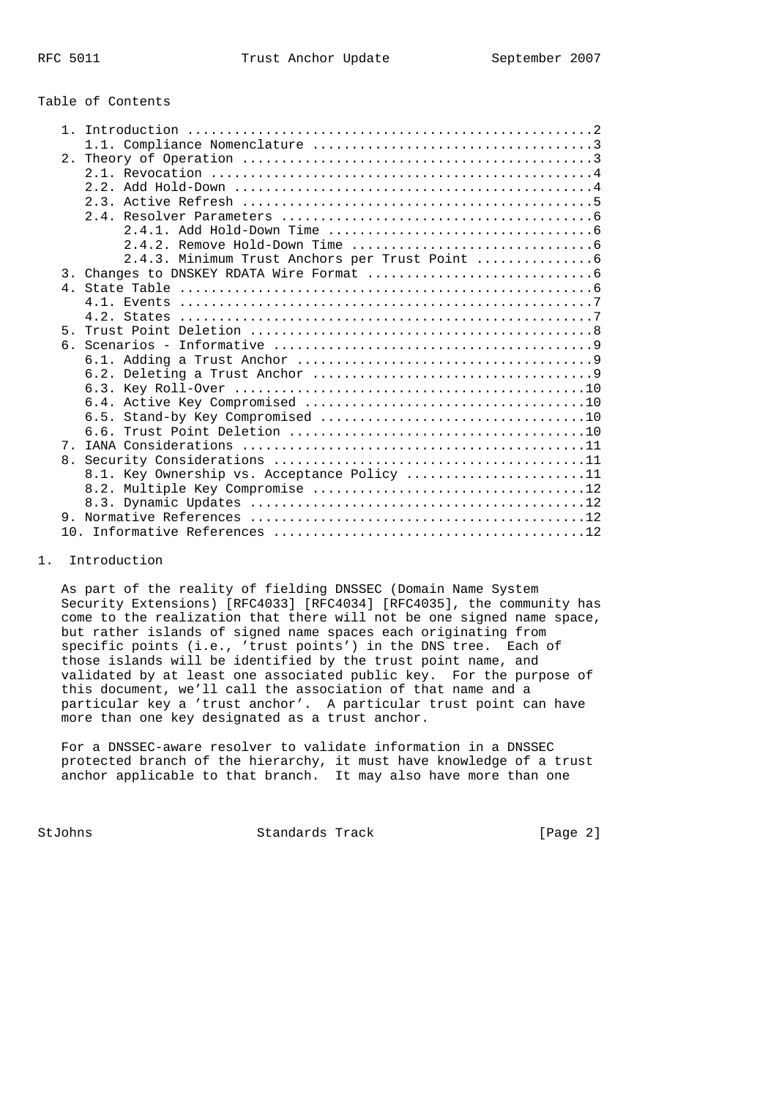### Table of Contents

| 1 <sub>1</sub> |                                             |
|----------------|---------------------------------------------|
|                |                                             |
|                |                                             |
|                |                                             |
|                |                                             |
|                |                                             |
|                |                                             |
|                |                                             |
|                |                                             |
|                |                                             |
|                |                                             |
|                |                                             |
|                |                                             |
|                |                                             |
| $5 -$          |                                             |
|                |                                             |
|                |                                             |
|                |                                             |
|                |                                             |
|                |                                             |
|                |                                             |
|                |                                             |
| 7              |                                             |
|                |                                             |
|                | 8.1. Key Ownership vs. Acceptance Policy 11 |
|                |                                             |
|                |                                             |
|                |                                             |
|                |                                             |

#### 1. Introduction

 As part of the reality of fielding DNSSEC (Domain Name System Security Extensions) [RFC4033] [RFC4034] [RFC4035], the community has come to the realization that there will not be one signed name space, but rather islands of signed name spaces each originating from specific points (i.e., 'trust points') in the DNS tree. Each of those islands will be identified by the trust point name, and validated by at least one associated public key. For the purpose of this document, we'll call the association of that name and a particular key a 'trust anchor'. A particular trust point can have more than one key designated as a trust anchor.

 For a DNSSEC-aware resolver to validate information in a DNSSEC protected branch of the hierarchy, it must have knowledge of a trust anchor applicable to that branch. It may also have more than one

StJohns Standards Track [Page 2]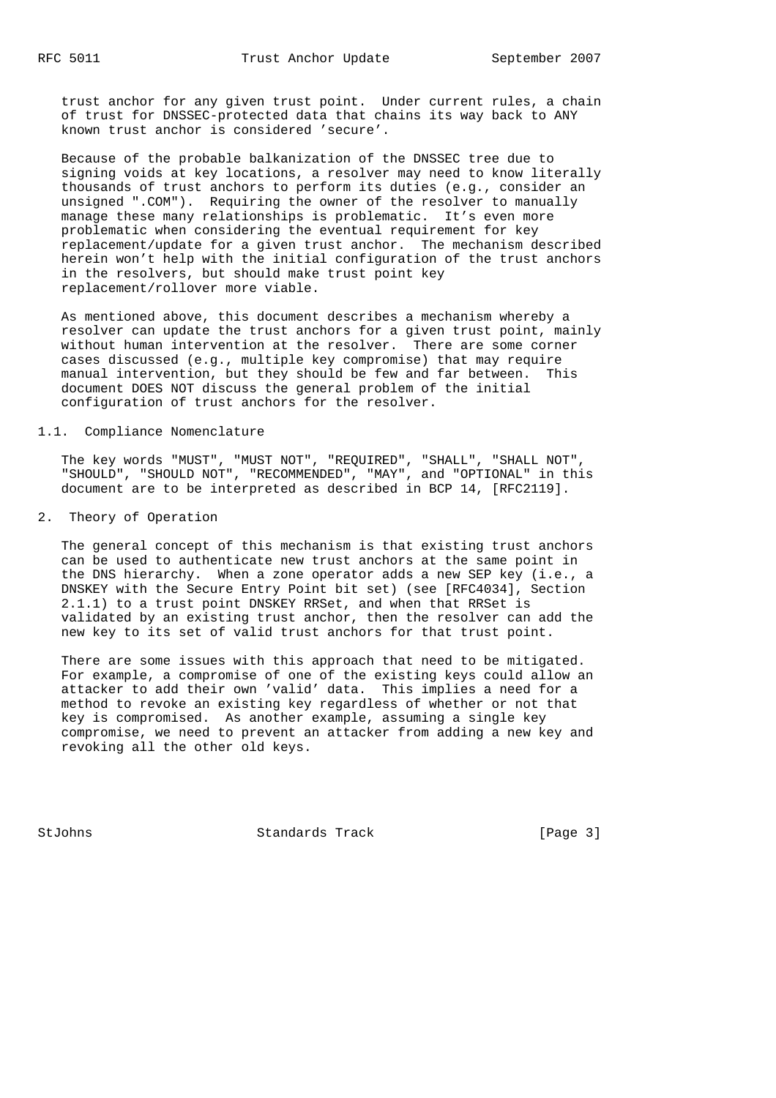trust anchor for any given trust point. Under current rules, a chain of trust for DNSSEC-protected data that chains its way back to ANY known trust anchor is considered 'secure'.

 Because of the probable balkanization of the DNSSEC tree due to signing voids at key locations, a resolver may need to know literally thousands of trust anchors to perform its duties (e.g., consider an unsigned ".COM"). Requiring the owner of the resolver to manually manage these many relationships is problematic. It's even more problematic when considering the eventual requirement for key replacement/update for a given trust anchor. The mechanism described herein won't help with the initial configuration of the trust anchors in the resolvers, but should make trust point key replacement/rollover more viable.

 As mentioned above, this document describes a mechanism whereby a resolver can update the trust anchors for a given trust point, mainly without human intervention at the resolver. There are some corner cases discussed (e.g., multiple key compromise) that may require manual intervention, but they should be few and far between. This document DOES NOT discuss the general problem of the initial configuration of trust anchors for the resolver.

### 1.1. Compliance Nomenclature

 The key words "MUST", "MUST NOT", "REQUIRED", "SHALL", "SHALL NOT", "SHOULD", "SHOULD NOT", "RECOMMENDED", "MAY", and "OPTIONAL" in this document are to be interpreted as described in BCP 14, [RFC2119].

2. Theory of Operation

 The general concept of this mechanism is that existing trust anchors can be used to authenticate new trust anchors at the same point in the DNS hierarchy. When a zone operator adds a new SEP key (i.e., a DNSKEY with the Secure Entry Point bit set) (see [RFC4034], Section 2.1.1) to a trust point DNSKEY RRSet, and when that RRSet is validated by an existing trust anchor, then the resolver can add the new key to its set of valid trust anchors for that trust point.

 There are some issues with this approach that need to be mitigated. For example, a compromise of one of the existing keys could allow an attacker to add their own 'valid' data. This implies a need for a method to revoke an existing key regardless of whether or not that key is compromised. As another example, assuming a single key compromise, we need to prevent an attacker from adding a new key and revoking all the other old keys.

StJohns Standards Track [Page 3]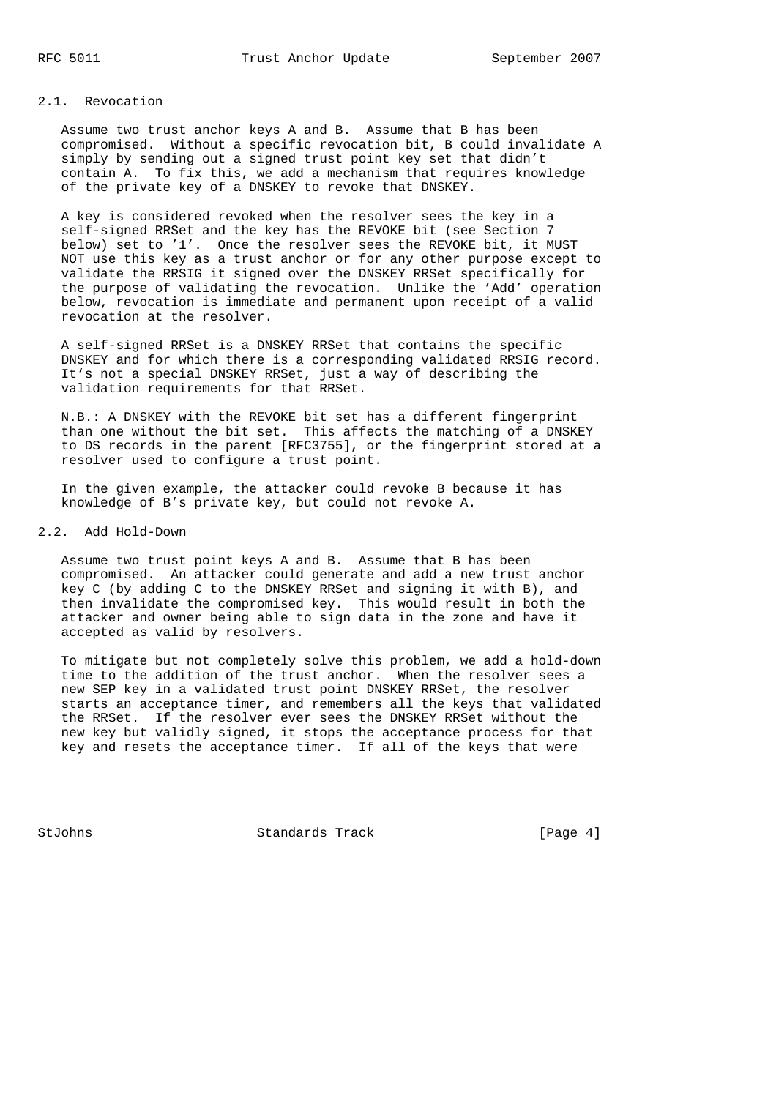### 2.1. Revocation

 Assume two trust anchor keys A and B. Assume that B has been compromised. Without a specific revocation bit, B could invalidate A simply by sending out a signed trust point key set that didn't contain A. To fix this, we add a mechanism that requires knowledge of the private key of a DNSKEY to revoke that DNSKEY.

 A key is considered revoked when the resolver sees the key in a self-signed RRSet and the key has the REVOKE bit (see Section 7 below) set to '1'. Once the resolver sees the REVOKE bit, it MUST NOT use this key as a trust anchor or for any other purpose except to validate the RRSIG it signed over the DNSKEY RRSet specifically for the purpose of validating the revocation. Unlike the 'Add' operation below, revocation is immediate and permanent upon receipt of a valid revocation at the resolver.

 A self-signed RRSet is a DNSKEY RRSet that contains the specific DNSKEY and for which there is a corresponding validated RRSIG record. It's not a special DNSKEY RRSet, just a way of describing the validation requirements for that RRSet.

 N.B.: A DNSKEY with the REVOKE bit set has a different fingerprint than one without the bit set. This affects the matching of a DNSKEY to DS records in the parent [RFC3755], or the fingerprint stored at a resolver used to configure a trust point.

 In the given example, the attacker could revoke B because it has knowledge of B's private key, but could not revoke A.

### 2.2. Add Hold-Down

 Assume two trust point keys A and B. Assume that B has been compromised. An attacker could generate and add a new trust anchor key C (by adding C to the DNSKEY RRSet and signing it with B), and then invalidate the compromised key. This would result in both the attacker and owner being able to sign data in the zone and have it accepted as valid by resolvers.

 To mitigate but not completely solve this problem, we add a hold-down time to the addition of the trust anchor. When the resolver sees a new SEP key in a validated trust point DNSKEY RRSet, the resolver starts an acceptance timer, and remembers all the keys that validated the RRSet. If the resolver ever sees the DNSKEY RRSet without the new key but validly signed, it stops the acceptance process for that key and resets the acceptance timer. If all of the keys that were

StJohns Standards Track [Page 4]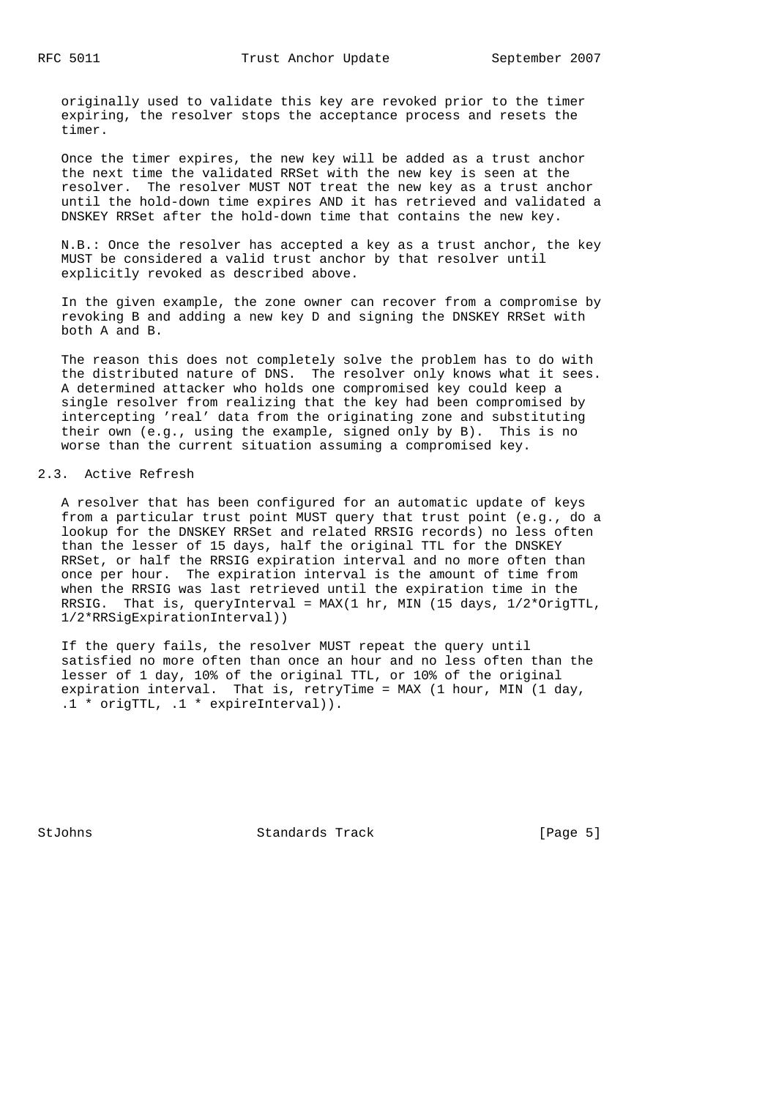originally used to validate this key are revoked prior to the timer expiring, the resolver stops the acceptance process and resets the timer.

 Once the timer expires, the new key will be added as a trust anchor the next time the validated RRSet with the new key is seen at the resolver. The resolver MUST NOT treat the new key as a trust anchor until the hold-down time expires AND it has retrieved and validated a DNSKEY RRSet after the hold-down time that contains the new key.

 N.B.: Once the resolver has accepted a key as a trust anchor, the key MUST be considered a valid trust anchor by that resolver until explicitly revoked as described above.

 In the given example, the zone owner can recover from a compromise by revoking B and adding a new key D and signing the DNSKEY RRSet with both A and B.

 The reason this does not completely solve the problem has to do with the distributed nature of DNS. The resolver only knows what it sees. A determined attacker who holds one compromised key could keep a single resolver from realizing that the key had been compromised by intercepting 'real' data from the originating zone and substituting their own (e.g., using the example, signed only by B). This is no worse than the current situation assuming a compromised key.

## 2.3. Active Refresh

 A resolver that has been configured for an automatic update of keys from a particular trust point MUST query that trust point (e.g., do a lookup for the DNSKEY RRSet and related RRSIG records) no less often than the lesser of 15 days, half the original TTL for the DNSKEY RRSet, or half the RRSIG expiration interval and no more often than once per hour. The expiration interval is the amount of time from when the RRSIG was last retrieved until the expiration time in the RRSIG. That is, queryInterval = MAX(1 hr, MIN (15 days,  $1/2$ \*OrigTTL, 1/2\*RRSigExpirationInterval))

 If the query fails, the resolver MUST repeat the query until satisfied no more often than once an hour and no less often than the lesser of 1 day, 10% of the original TTL, or 10% of the original expiration interval. That is, retryTime = MAX (1 hour, MIN (1 day, .1 \* origTTL, .1 \* expireInterval)).

StJohns Standards Track [Page 5]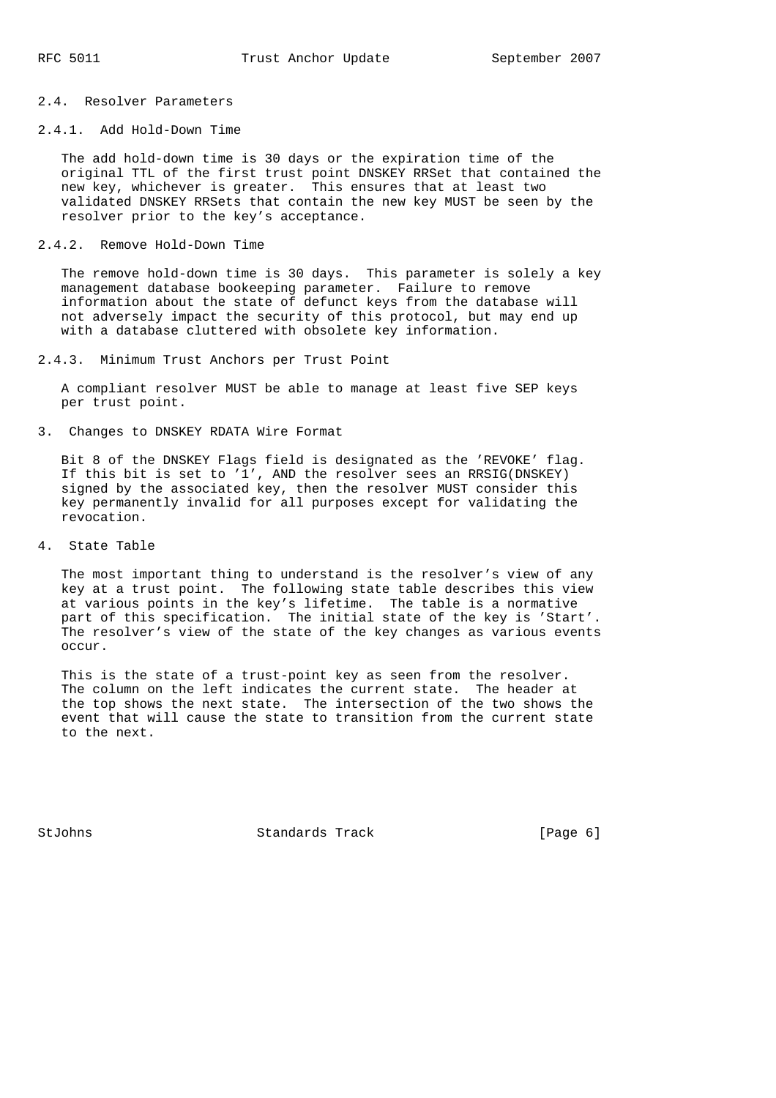# 2.4. Resolver Parameters

# 2.4.1. Add Hold-Down Time

 The add hold-down time is 30 days or the expiration time of the original TTL of the first trust point DNSKEY RRSet that contained the new key, whichever is greater. This ensures that at least two validated DNSKEY RRSets that contain the new key MUST be seen by the resolver prior to the key's acceptance.

### 2.4.2. Remove Hold-Down Time

 The remove hold-down time is 30 days. This parameter is solely a key management database bookeeping parameter. Failure to remove information about the state of defunct keys from the database will not adversely impact the security of this protocol, but may end up with a database cluttered with obsolete key information.

2.4.3. Minimum Trust Anchors per Trust Point

 A compliant resolver MUST be able to manage at least five SEP keys per trust point.

### 3. Changes to DNSKEY RDATA Wire Format

 Bit 8 of the DNSKEY Flags field is designated as the 'REVOKE' flag. If this bit is set to  $1'$ , AND the resolver sees an RRSIG(DNSKEY) signed by the associated key, then the resolver MUST consider this key permanently invalid for all purposes except for validating the revocation.

### 4. State Table

 The most important thing to understand is the resolver's view of any key at a trust point. The following state table describes this view at various points in the key's lifetime. The table is a normative part of this specification. The initial state of the key is 'Start'. The resolver's view of the state of the key changes as various events occur.

 This is the state of a trust-point key as seen from the resolver. The column on the left indicates the current state. The header at the top shows the next state. The intersection of the two shows the event that will cause the state to transition from the current state to the next.

StJohns Standards Track [Page 6]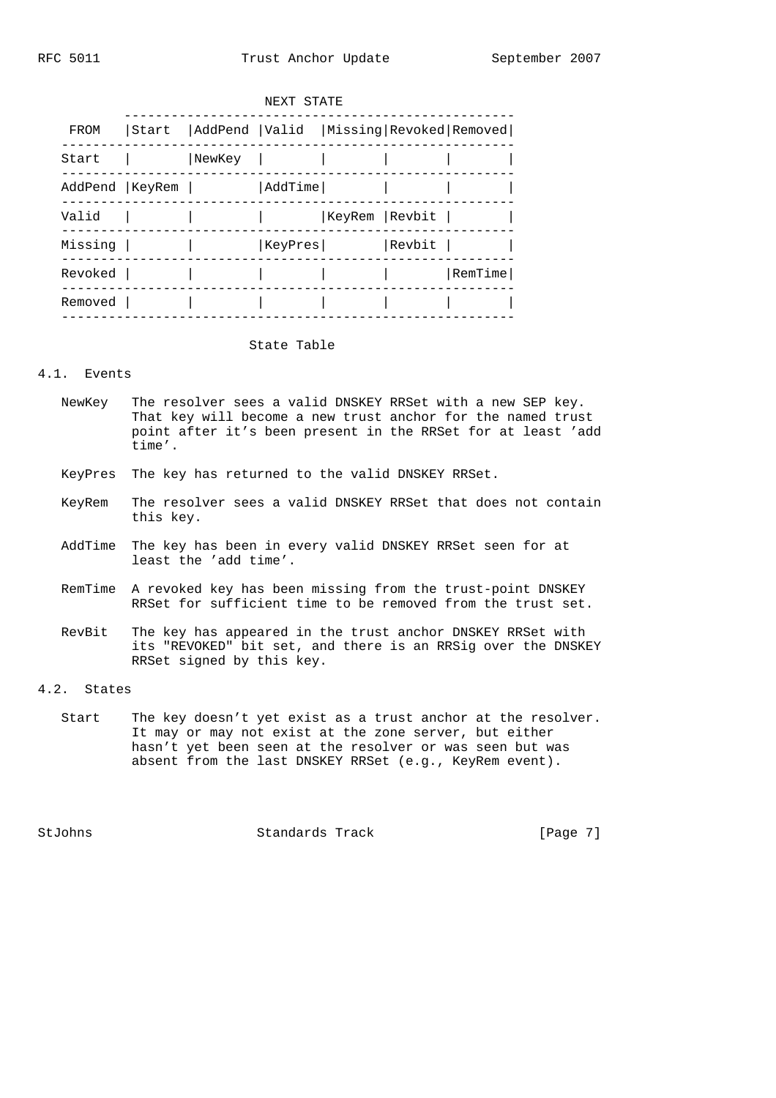|  | NEXT STATE       |       |        |         |                |        |                                         |  |
|--|------------------|-------|--------|---------|----------------|--------|-----------------------------------------|--|
|  | FROM             | Start |        |         |                |        | AddPend  Valid  Missing Revoked Removed |  |
|  | Start            |       | NewKey |         |                |        |                                         |  |
|  | AddPend   KeyRem |       |        | AddTime |                |        |                                         |  |
|  | Valid            |       |        |         | KeyRem  Revbit |        |                                         |  |
|  | Missing          |       |        | KeyPres |                | Revbit |                                         |  |
|  | Revoked          |       |        |         |                |        | RemTime                                 |  |
|  | Removed          |       |        |         |                |        |                                         |  |
|  |                  |       |        |         |                |        |                                         |  |

### State Table

### 4.1. Events

- NewKey The resolver sees a valid DNSKEY RRSet with a new SEP key. That key will become a new trust anchor for the named trust point after it's been present in the RRSet for at least 'add time'.
- KeyPres The key has returned to the valid DNSKEY RRSet.
- KeyRem The resolver sees a valid DNSKEY RRSet that does not contain this key.
- AddTime The key has been in every valid DNSKEY RRSet seen for at least the 'add time'.
- RemTime A revoked key has been missing from the trust-point DNSKEY RRSet for sufficient time to be removed from the trust set.
- RevBit The key has appeared in the trust anchor DNSKEY RRSet with its "REVOKED" bit set, and there is an RRSig over the DNSKEY RRSet signed by this key.

### 4.2. States

 Start The key doesn't yet exist as a trust anchor at the resolver. It may or may not exist at the zone server, but either hasn't yet been seen at the resolver or was seen but was absent from the last DNSKEY RRSet (e.g., KeyRem event).

StJohns Standards Track [Page 7]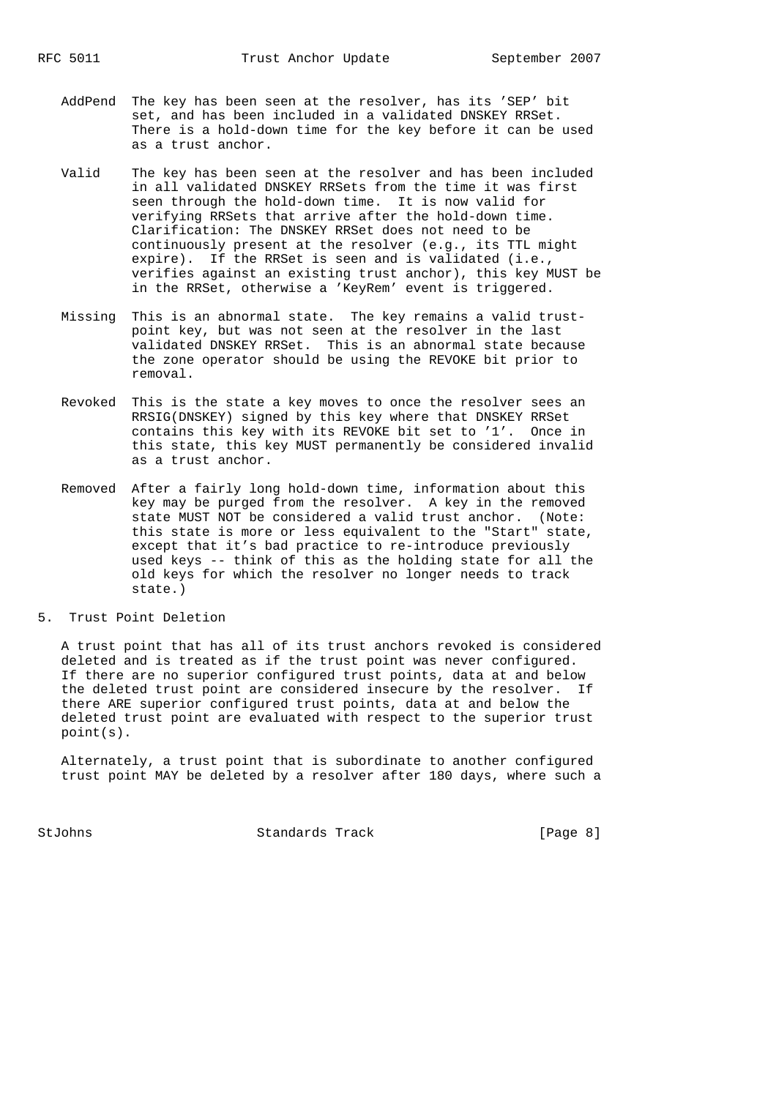- AddPend The key has been seen at the resolver, has its 'SEP' bit set, and has been included in a validated DNSKEY RRSet. There is a hold-down time for the key before it can be used as a trust anchor.
- Valid The key has been seen at the resolver and has been included in all validated DNSKEY RRSets from the time it was first seen through the hold-down time. It is now valid for verifying RRSets that arrive after the hold-down time. Clarification: The DNSKEY RRSet does not need to be continuously present at the resolver (e.g., its TTL might expire). If the RRSet is seen and is validated (i.e., verifies against an existing trust anchor), this key MUST be in the RRSet, otherwise a 'KeyRem' event is triggered.
- Missing This is an abnormal state. The key remains a valid trust point key, but was not seen at the resolver in the last validated DNSKEY RRSet. This is an abnormal state because the zone operator should be using the REVOKE bit prior to removal.
- Revoked This is the state a key moves to once the resolver sees an RRSIG(DNSKEY) signed by this key where that DNSKEY RRSet contains this key with its REVOKE bit set to '1'. Once in this state, this key MUST permanently be considered invalid as a trust anchor.
- Removed After a fairly long hold-down time, information about this key may be purged from the resolver. A key in the removed state MUST NOT be considered a valid trust anchor. (Note: this state is more or less equivalent to the "Start" state, except that it's bad practice to re-introduce previously used keys -- think of this as the holding state for all the old keys for which the resolver no longer needs to track state.)
- 5. Trust Point Deletion

 A trust point that has all of its trust anchors revoked is considered deleted and is treated as if the trust point was never configured. If there are no superior configured trust points, data at and below the deleted trust point are considered insecure by the resolver. If there ARE superior configured trust points, data at and below the deleted trust point are evaluated with respect to the superior trust point(s).

 Alternately, a trust point that is subordinate to another configured trust point MAY be deleted by a resolver after 180 days, where such a

StJohns Standards Track [Page 8]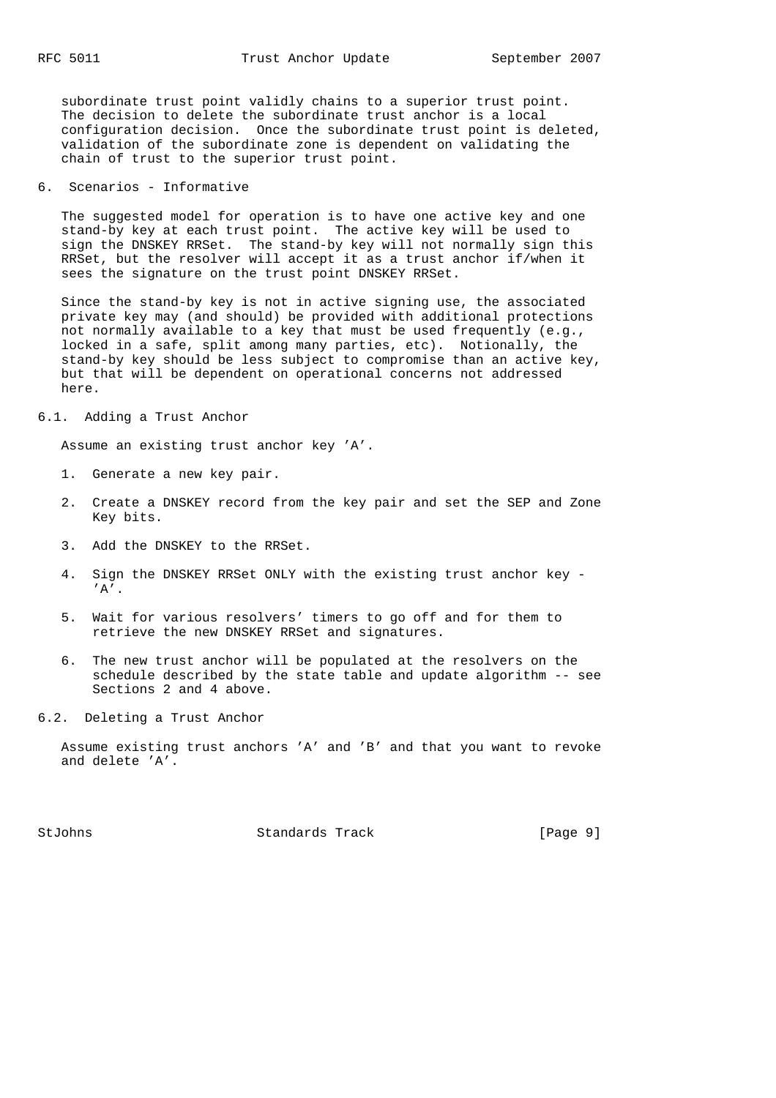subordinate trust point validly chains to a superior trust point. The decision to delete the subordinate trust anchor is a local configuration decision. Once the subordinate trust point is deleted, validation of the subordinate zone is dependent on validating the chain of trust to the superior trust point.

6. Scenarios - Informative

 The suggested model for operation is to have one active key and one stand-by key at each trust point. The active key will be used to sign the DNSKEY RRSet. The stand-by key will not normally sign this RRSet, but the resolver will accept it as a trust anchor if/when it sees the signature on the trust point DNSKEY RRSet.

 Since the stand-by key is not in active signing use, the associated private key may (and should) be provided with additional protections not normally available to a key that must be used frequently (e.g., locked in a safe, split among many parties, etc). Notionally, the stand-by key should be less subject to compromise than an active key, but that will be dependent on operational concerns not addressed here.

## 6.1. Adding a Trust Anchor

Assume an existing trust anchor key 'A'.

- 1. Generate a new key pair.
- 2. Create a DNSKEY record from the key pair and set the SEP and Zone Key bits.
- 3. Add the DNSKEY to the RRSet.
- 4. Sign the DNSKEY RRSet ONLY with the existing trust anchor key  $'A'$ .
- 5. Wait for various resolvers' timers to go off and for them to retrieve the new DNSKEY RRSet and signatures.
- 6. The new trust anchor will be populated at the resolvers on the schedule described by the state table and update algorithm -- see Sections 2 and 4 above.
- 6.2. Deleting a Trust Anchor

 Assume existing trust anchors 'A' and 'B' and that you want to revoke and delete 'A'.

StJohns Standards Track [Page 9]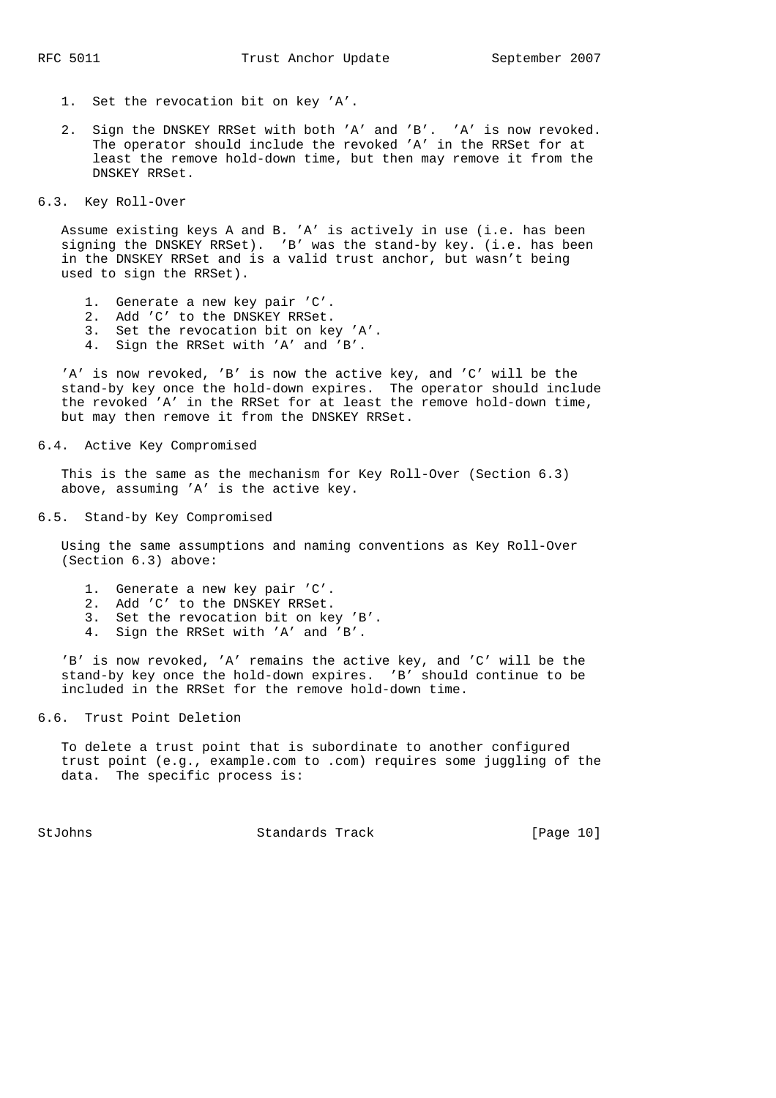- 1. Set the revocation bit on key 'A'.
- 2. Sign the DNSKEY RRSet with both 'A' and 'B'. 'A' is now revoked. The operator should include the revoked 'A' in the RRSet for at least the remove hold-down time, but then may remove it from the DNSKEY RRSet.

### 6.3. Key Roll-Over

 Assume existing keys A and B. 'A' is actively in use (i.e. has been signing the DNSKEY RRSet). 'B' was the stand-by key. (i.e. has been in the DNSKEY RRSet and is a valid trust anchor, but wasn't being used to sign the RRSet).

- 1. Generate a new key pair 'C'.
- 2. Add 'C' to the DNSKEY RRSet.
- 3. Set the revocation bit on key 'A'.
- 4. Sign the RRSet with 'A' and 'B'.

 'A' is now revoked, 'B' is now the active key, and 'C' will be the stand-by key once the hold-down expires. The operator should include the revoked 'A' in the RRSet for at least the remove hold-down time, but may then remove it from the DNSKEY RRSet.

#### 6.4. Active Key Compromised

 This is the same as the mechanism for Key Roll-Over (Section 6.3) above, assuming 'A' is the active key.

#### 6.5. Stand-by Key Compromised

 Using the same assumptions and naming conventions as Key Roll-Over (Section 6.3) above:

- 1. Generate a new key pair 'C'.
- 2. Add 'C' to the DNSKEY RRSet.
- 3. Set the revocation bit on key 'B'.
- 4. Sign the RRSet with 'A' and 'B'.

 'B' is now revoked, 'A' remains the active key, and 'C' will be the stand-by key once the hold-down expires. 'B' should continue to be included in the RRSet for the remove hold-down time.

6.6. Trust Point Deletion

 To delete a trust point that is subordinate to another configured trust point (e.g., example.com to .com) requires some juggling of the data. The specific process is:

StJohns Standards Track [Page 10]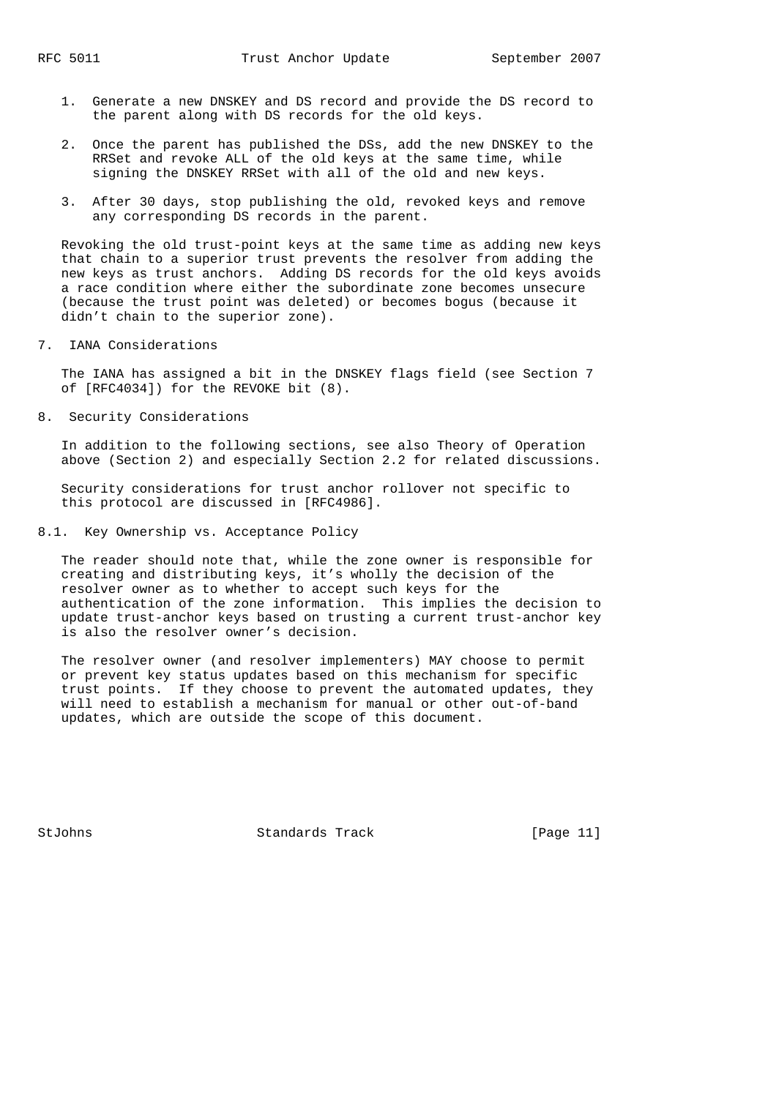- 1. Generate a new DNSKEY and DS record and provide the DS record to the parent along with DS records for the old keys.
- 2. Once the parent has published the DSs, add the new DNSKEY to the RRSet and revoke ALL of the old keys at the same time, while signing the DNSKEY RRSet with all of the old and new keys.
- 3. After 30 days, stop publishing the old, revoked keys and remove any corresponding DS records in the parent.

 Revoking the old trust-point keys at the same time as adding new keys that chain to a superior trust prevents the resolver from adding the new keys as trust anchors. Adding DS records for the old keys avoids a race condition where either the subordinate zone becomes unsecure (because the trust point was deleted) or becomes bogus (because it didn't chain to the superior zone).

7. IANA Considerations

 The IANA has assigned a bit in the DNSKEY flags field (see Section 7 of [RFC4034]) for the REVOKE bit (8).

8. Security Considerations

 In addition to the following sections, see also Theory of Operation above (Section 2) and especially Section 2.2 for related discussions.

 Security considerations for trust anchor rollover not specific to this protocol are discussed in [RFC4986].

8.1. Key Ownership vs. Acceptance Policy

 The reader should note that, while the zone owner is responsible for creating and distributing keys, it's wholly the decision of the resolver owner as to whether to accept such keys for the authentication of the zone information. This implies the decision to update trust-anchor keys based on trusting a current trust-anchor key is also the resolver owner's decision.

 The resolver owner (and resolver implementers) MAY choose to permit or prevent key status updates based on this mechanism for specific trust points. If they choose to prevent the automated updates, they will need to establish a mechanism for manual or other out-of-band updates, which are outside the scope of this document.

StJohns Standards Track [Page 11]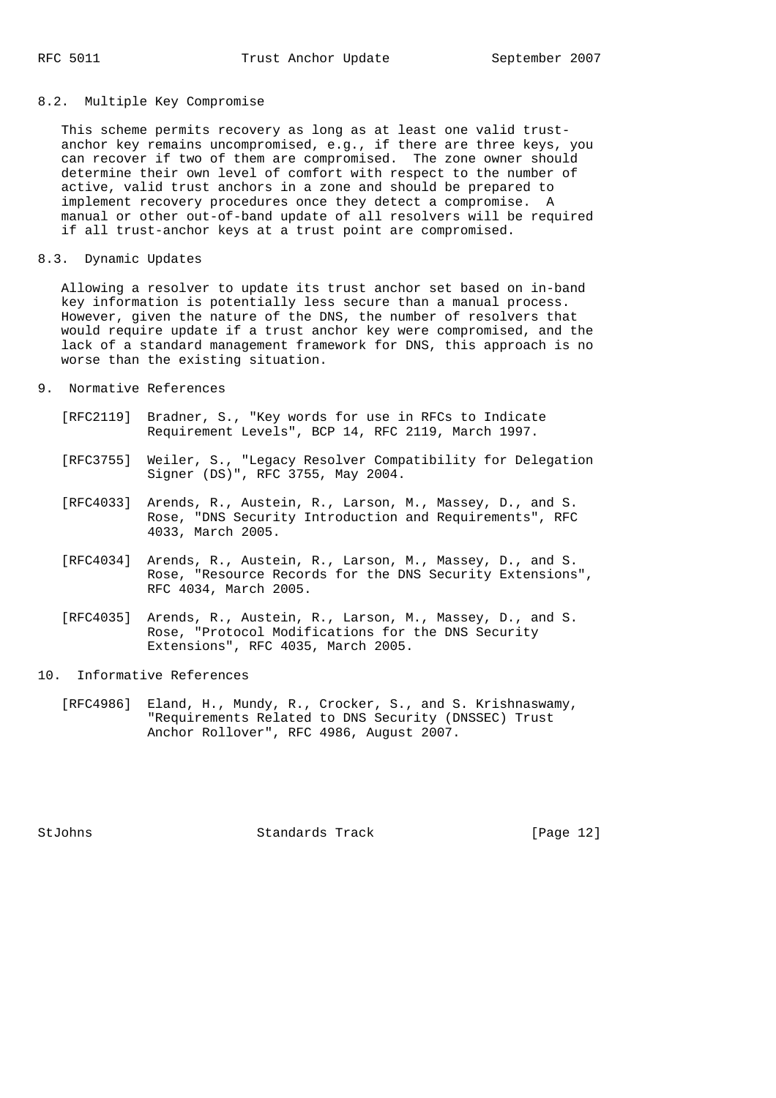### 8.2. Multiple Key Compromise

 This scheme permits recovery as long as at least one valid trust anchor key remains uncompromised, e.g., if there are three keys, you can recover if two of them are compromised. The zone owner should determine their own level of comfort with respect to the number of active, valid trust anchors in a zone and should be prepared to implement recovery procedures once they detect a compromise. A manual or other out-of-band update of all resolvers will be required if all trust-anchor keys at a trust point are compromised.

8.3. Dynamic Updates

 Allowing a resolver to update its trust anchor set based on in-band key information is potentially less secure than a manual process. However, given the nature of the DNS, the number of resolvers that would require update if a trust anchor key were compromised, and the lack of a standard management framework for DNS, this approach is no worse than the existing situation.

#### 9. Normative References

- [RFC2119] Bradner, S., "Key words for use in RFCs to Indicate Requirement Levels", BCP 14, RFC 2119, March 1997.
- [RFC3755] Weiler, S., "Legacy Resolver Compatibility for Delegation Signer (DS)", RFC 3755, May 2004.
	- [RFC4033] Arends, R., Austein, R., Larson, M., Massey, D., and S. Rose, "DNS Security Introduction and Requirements", RFC 4033, March 2005.
	- [RFC4034] Arends, R., Austein, R., Larson, M., Massey, D., and S. Rose, "Resource Records for the DNS Security Extensions", RFC 4034, March 2005.
	- [RFC4035] Arends, R., Austein, R., Larson, M., Massey, D., and S. Rose, "Protocol Modifications for the DNS Security Extensions", RFC 4035, March 2005.
- 10. Informative References
	- [RFC4986] Eland, H., Mundy, R., Crocker, S., and S. Krishnaswamy, "Requirements Related to DNS Security (DNSSEC) Trust Anchor Rollover", RFC 4986, August 2007.

StJohns Standards Track [Page 12]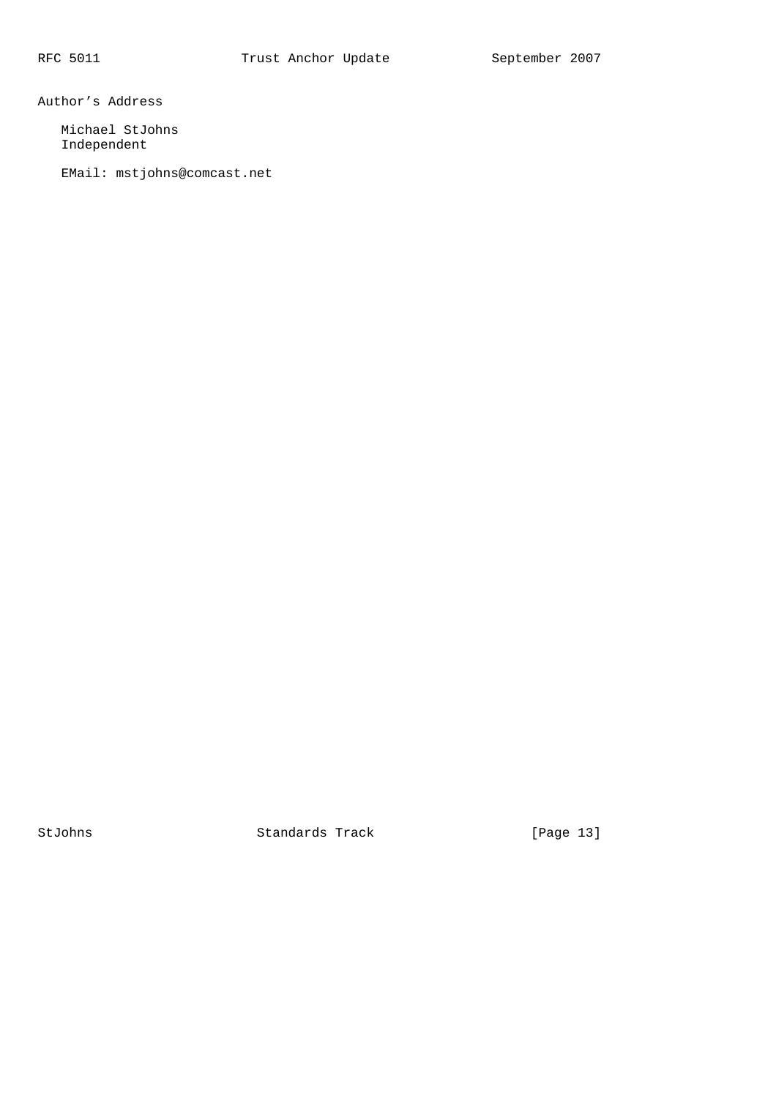Author's Address

 Michael StJohns Independent

EMail: mstjohns@comcast.net

StJohns Standards Track [Page 13]